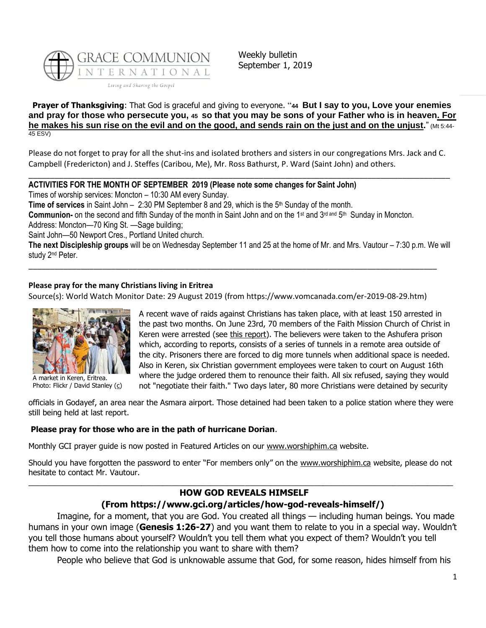

Weekly bulletin September 1, 2019

**Prayer of Thanksgiving**: That God is graceful and giving to everyone. "**<sup>44</sup> But I say to you, Love your enemies and pray for those who persecute you, <sup>45</sup> so that you may be sons of your Father who is in heaven. For he makes his sun rise on the evil and on the good, and sends rain on the just and on the unjust.**" (Mt 5:44- 45 ESV)

Please do not forget to pray for all the shut-ins and isolated brothers and sisters in our congregations Mrs. Jack and C. Campbell (Fredericton) and J. Steffes (Caribou, Me), Mr. Ross Bathurst, P. Ward (Saint John) and others.

\_\_\_\_\_\_\_\_\_\_\_\_\_\_\_\_\_\_\_\_\_\_\_\_\_\_\_\_\_\_\_\_\_\_\_\_\_\_\_\_\_\_\_\_\_\_\_\_\_\_\_\_\_\_\_\_\_\_\_\_\_\_\_\_\_\_\_\_\_\_\_\_\_\_\_\_\_\_\_\_\_\_\_\_\_\_\_\_\_\_\_\_\_\_\_\_\_

## **ACTIVITIES FOR THE MONTH OF SEPTEMBER 2019 (Please note some changes for Saint John)**

Times of worship services: Moncton – 10:30 AM every Sunday.

**Time of services** in Saint John – 2:30 PM September 8 and 29, which is the 5<sup>th</sup> Sunday of the month.

**Communion-** on the second and fifth Sunday of the month in Saint John and on the 1<sup>st</sup> and 3<sup>rd and</sup> 5<sup>th</sup> Sunday in Moncton.

Address: Moncton—70 King St. —Sage building;

Saint John—50 Newport Cres., Portland United church.

**The next Discipleship groups** will be on Wednesday September 11 and 25 at the home of Mr. and Mrs. Vautour – 7:30 p.m. We will study 2<sup>nd</sup> Peter.

## **Please pray for the many Christians living in Eritrea**

Source(s): World Watch Monitor Date: 29 August 2019 (from https://www.vomcanada.com/er-2019-08-29.htm)

\_\_\_\_\_\_\_\_\_\_\_\_\_\_\_\_\_\_\_\_\_\_\_\_\_\_\_\_\_\_\_\_\_\_\_\_\_\_\_\_\_\_\_\_\_\_\_\_\_\_\_\_\_\_\_\_\_\_\_\_\_\_\_\_\_\_\_\_\_\_\_\_\_\_\_\_\_\_\_\_\_\_\_\_\_\_\_\_\_\_\_\_\_\_



A market in Keren, Eritrea. Photo: Flickr / David Stanley [\(c\)](https://creativecommons.org/licenses/by/2.0/legalcode)

A recent wave of raids against Christians has taken place, with at least 150 arrested in the past two months. On June 23rd, 70 members of the Faith Mission Church of Christ in Keren were arrested (see [this report\)](https://www.vomcanada.com/er-2019-07-04.htm). The believers were taken to the Ashufera prison which, according to reports, consists of a series of tunnels in a remote area outside of the city. Prisoners there are forced to dig more tunnels when additional space is needed. Also in Keren, six Christian government employees were taken to court on August 16th where the judge ordered them to renounce their faith. All six refused, saying they would not "negotiate their faith." Two days later, 80 more Christians were detained by security

officials in Godayef, an area near the Asmara airport. Those detained had been taken to a police station where they were still being held at last report.

## **Please pray for those who are in the path of hurricane Dorian**.

Monthly GCI prayer guide is now posted in Featured Articles on our [www.worshiphim.ca](http://www.worshiphim.ca/) website.

Should you have forgotten the password to enter "For members only" on the [www.worshiphim.ca](http://www.worshiphim.ca/) website, please do not hesitate to contact Mr. Vautour.

### $\_$  ,  $\_$  ,  $\_$  ,  $\_$  ,  $\_$  ,  $\_$  ,  $\_$  ,  $\_$  ,  $\_$  ,  $\_$  ,  $\_$  ,  $\_$  ,  $\_$  ,  $\_$  ,  $\_$  ,  $\_$  ,  $\_$  ,  $\_$  ,  $\_$  ,  $\_$  ,  $\_$  ,  $\_$  ,  $\_$  ,  $\_$  ,  $\_$  ,  $\_$  ,  $\_$  ,  $\_$  ,  $\_$  ,  $\_$  ,  $\_$  ,  $\_$  ,  $\_$  ,  $\_$  ,  $\_$  ,  $\_$  ,  $\_$  , **HOW GOD REVEALS HIMSELF**

## **(From https://www.gci.org/articles/how-god-reveals-himself/)**

Imagine, for a moment, that you are God. You created all things — including human beings. You made humans in your own image (**Genesis 1:26-27**) and you want them to relate to you in a special way. Wouldn't you tell those humans about yourself? Wouldn't you tell them what you expect of them? Wouldn't you tell them how to come into the relationship you want to share with them?

People who believe that God is unknowable assume that God, for some reason, hides himself from his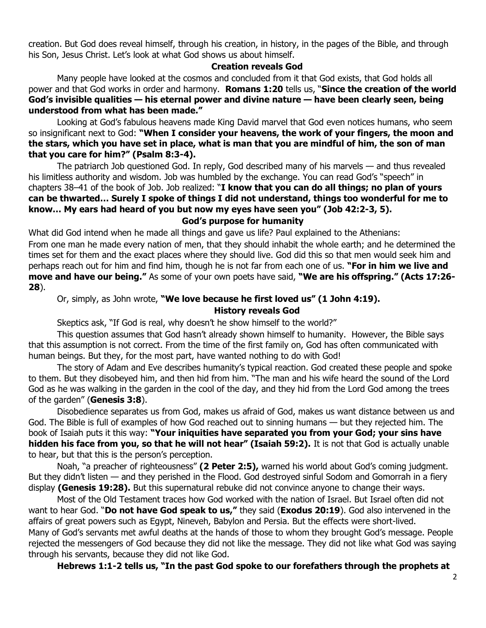creation. But God does reveal himself, through his creation, in history, in the pages of the Bible, and through his Son, Jesus Christ. Let's look at what God shows us about himself.

## **Creation reveals God**

Many people have looked at the cosmos and concluded from it that God exists, that God holds all power and that God works in order and harmony. **Romans 1:20** tells us, "**Since the creation of the world God's invisible qualities — his eternal power and divine nature — have been clearly seen, being understood from what has been made."** 

Looking at God's fabulous heavens made King David marvel that God even notices humans, who seem so insignificant next to God: **"When I consider your heavens, the work of your fingers, the moon and the stars, which you have set in place, what is man that you are mindful of him, the son of man that you care for him?" (Psalm 8:3-4).** 

The patriarch Job questioned God. In reply, God described many of his marvels — and thus revealed his limitless authority and wisdom. Job was humbled by the exchange. You can read God's "speech" in chapters 38–41 of the book of Job. Job realized: "**I know that you can do all things; no plan of yours can be thwarted… Surely I spoke of things I did not understand, things too wonderful for me to know… My ears had heard of you but now my eyes have seen you" (Job 42:2-3, 5).**

**God's purpose for humanity**

What did God intend when he made all things and gave us life? Paul explained to the Athenians: From one man he made every nation of men, that they should inhabit the whole earth; and he determined the times set for them and the exact places where they should live. God did this so that men would seek him and perhaps reach out for him and find him, though he is not far from each one of us. **"For in him we live and move and have our being."** As some of your own poets have said, **"We are his offspring." (Acts 17:26- 28**).

Or, simply, as John wrote, **"We love because he first loved us" (1 John 4:19).**

# **History reveals God**

Skeptics ask, "If God is real, why doesn't he show himself to the world?"

This question assumes that God hasn't already shown himself to humanity. However, the Bible says that this assumption is not correct. From the time of the first family on, God has often communicated with human beings. But they, for the most part, have wanted nothing to do with God!

The story of Adam and Eve describes humanity's typical reaction. God created these people and spoke to them. But they disobeyed him, and then hid from him. "The man and his wife heard the sound of the Lord God as he was walking in the garden in the cool of the day, and they hid from the Lord God among the trees of the garden" (**Genesis 3:8**).

Disobedience separates us from God, makes us afraid of God, makes us want distance between us and God. The Bible is full of examples of how God reached out to sinning humans — but they rejected him. The book of Isaiah puts it this way: **"Your iniquities have separated you from your God; your sins have hidden his face from you, so that he will not hear" (Isaiah 59:2).** It is not that God is actually unable to hear, but that this is the person's perception.

Noah, "a preacher of righteousness" **(2 Peter 2:5),** warned his world about God's coming judgment. But they didn't listen — and they perished in the Flood. God destroyed sinful Sodom and Gomorrah in a fiery display **(Genesis 19:28).** But this supernatural rebuke did not convince anyone to change their ways.

Most of the Old Testament traces how God worked with the nation of Israel. But Israel often did not want to hear God. "**Do not have God speak to us,"** they said (**Exodus 20:19**). God also intervened in the affairs of great powers such as Egypt, Nineveh, Babylon and Persia. But the effects were short-lived. Many of God's servants met awful deaths at the hands of those to whom they brought God's message. People rejected the messengers of God because they did not like the message. They did not like what God was saying through his servants, because they did not like God.

**Hebrews 1:1-2 tells us, "In the past God spoke to our forefathers through the prophets at**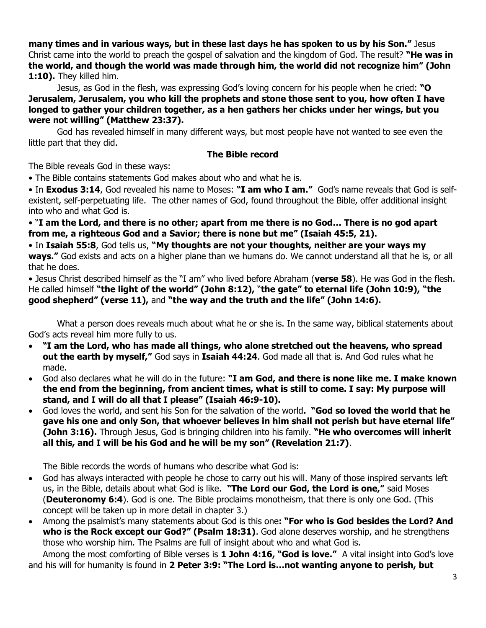**many times and in various ways, but in these last days he has spoken to us by his Son."** Jesus Christ came into the world to preach the gospel of salvation and the kingdom of God. The result? **"He was in the world, and though the world was made through him, the world did not recognize him" (John 1:10).** They killed him.

Jesus, as God in the flesh, was expressing God's loving concern for his people when he cried: **"O Jerusalem, Jerusalem, you who kill the prophets and stone those sent to you, how often I have longed to gather your children together, as a hen gathers her chicks under her wings, but you were not willing" (Matthew 23:37).** 

God has revealed himself in many different ways, but most people have not wanted to see even the little part that they did.

# **The Bible record**

The Bible reveals God in these ways:

• The Bible contains statements God makes about who and what he is.

• In **Exodus 3:14**, God revealed his name to Moses: **"I am who I am."** God's name reveals that God is selfexistent, self-perpetuating life. The other names of God, found throughout the Bible, offer additional insight into who and what God is.

• "**I am the Lord, and there is no other; apart from me there is no God… There is no god apart from me, a righteous God and a Savior; there is none but me" (Isaiah 45:5, 21).**

• In **Isaiah 55:8**, God tells us, **"My thoughts are not your thoughts, neither are your ways my ways."** God exists and acts on a higher plane than we humans do. We cannot understand all that he is, or all that he does.

• Jesus Christ described himself as the "I am" who lived before Abraham (**verse 58**). He was God in the flesh. He called himself **"the light of the world" (John 8:12),** "**the gate" to eternal life (John 10:9), "the good shepherd" (verse 11),** and **"the way and the truth and the life" (John 14:6).**

What a person does reveals much about what he or she is. In the same way, biblical statements about God's acts reveal him more fully to us.

- **"I am the Lord, who has made all things, who alone stretched out the heavens, who spread out the earth by myself,"** God says in **Isaiah 44:24**. God made all that is. And God rules what he made.
- God also declares what he will do in the future: **"I am God, and there is none like me. I make known the end from the beginning, from ancient times, what is still to come. I say: My purpose will stand, and I will do all that I please" (Isaiah 46:9-10).**
- God loves the world, and sent his Son for the salvation of the world**. "God so loved the world that he gave his one and only Son, that whoever believes in him shall not perish but have eternal life" (John 3:16).** Through Jesus, God is bringing children into his family. **"He who overcomes will inherit all this, and I will be his God and he will be my son" (Revelation 21:7)**.

The Bible records the words of humans who describe what God is:

- God has always interacted with people he chose to carry out his will. Many of those inspired servants left us, in the Bible, details about what God is like. **"The Lord our God, the Lord is one,"** said Moses (**Deuteronomy 6:4**). God is one. The Bible proclaims monotheism, that there is only one God. (This concept will be taken up in more detail in chapter 3.)
- Among the psalmist's many statements about God is this one**: "For who is God besides the Lord? And who is the Rock except our God?" (Psalm 18:31)**. God alone deserves worship, and he strengthens those who worship him. The Psalms are full of insight about who and what God is.

Among the most comforting of Bible verses is **1 John 4:16, "God is love."** A vital insight into God's love and his will for humanity is found in **2 Peter 3:9: "The Lord is…not wanting anyone to perish, but**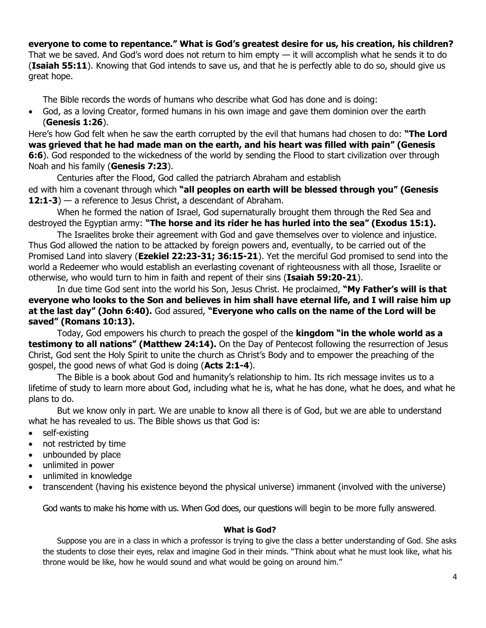**everyone to come to repentance." What is God's greatest desire for us, his creation, his children?** That we be saved. And God's word does not return to him empty — it will accomplish what he sends it to do (**Isaiah 55:11**). Knowing that God intends to save us, and that he is perfectly able to do so, should give us great hope.

The Bible records the words of humans who describe what God has done and is doing:

• God, as a loving Creator, formed humans in his own image and gave them dominion over the earth (**Genesis 1:26**).

Here's how God felt when he saw the earth corrupted by the evil that humans had chosen to do: **"The Lord was grieved that he had made man on the earth, and his heart was filled with pain" (Genesis 6:6**). God responded to the wickedness of the world by sending the Flood to start civilization over through Noah and his family (**Genesis 7:23**).

Centuries after the Flood, God called the patriarch Abraham and establish ed with him a covenant through which **"all peoples on earth will be blessed through you" (Genesis 12:1-3**) — a reference to Jesus Christ, a descendant of Abraham.

When he formed the nation of Israel, God supernaturally brought them through the Red Sea and destroyed the Egyptian army: **"The horse and its rider he has hurled into the sea" (Exodus 15:1).**

The Israelites broke their agreement with God and gave themselves over to violence and injustice. Thus God allowed the nation to be attacked by foreign powers and, eventually, to be carried out of the Promised Land into slavery (**Ezekiel 22:23-31; 36:15-21**). Yet the merciful God promised to send into the world a Redeemer who would establish an everlasting covenant of righteousness with all those, Israelite or otherwise, who would turn to him in faith and repent of their sins (**Isaiah 59:20-21**).

In due time God sent into the world his Son, Jesus Christ. He proclaimed, **"My Father's will is that everyone who looks to the Son and believes in him shall have eternal life, and I will raise him up at the last day" (John 6:40).** God assured, **"Everyone who calls on the name of the Lord will be saved" (Romans 10:13).** 

Today, God empowers his church to preach the gospel of the **kingdom "in the whole world as a testimony to all nations" (Matthew 24:14).** On the Day of Pentecost following the resurrection of Jesus Christ, God sent the Holy Spirit to unite the church as Christ's Body and to empower the preaching of the gospel, the good news of what God is doing (**Acts 2:1-4**).

The Bible is a book about God and humanity's relationship to him. Its rich message invites us to a lifetime of study to learn more about God, including what he is, what he has done, what he does, and what he plans to do.

But we know only in part. We are unable to know all there is of God, but we are able to understand what he has revealed to us. The Bible shows us that God is:

- self-existing
- not restricted by time
- unbounded by place
- unlimited in power
- unlimited in knowledge
- transcendent (having his existence beyond the physical universe) immanent (involved with the universe)

God wants to make his home with us. When God does, our questions will begin to be more fully answered.

## **What is God?**

Suppose you are in a class in which a professor is trying to give the class a better understanding of God. She asks the students to close their eyes, relax and imagine God in their minds. "Think about what he must look like, what his throne would be like, how he would sound and what would be going on around him."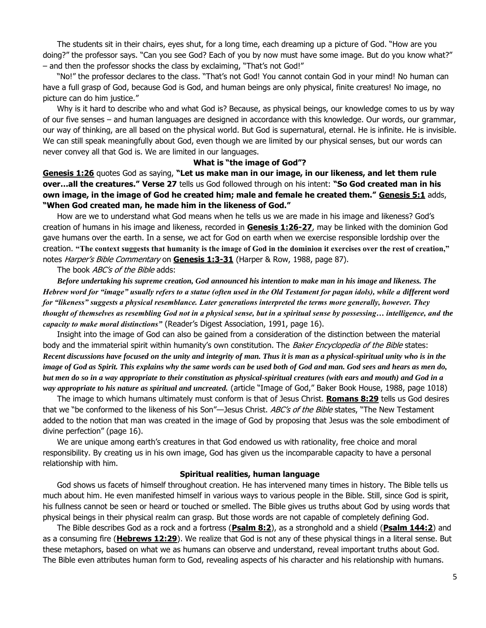The students sit in their chairs, eyes shut, for a long time, each dreaming up a picture of God. "How are you doing?" the professor says. "Can you see God? Each of you by now must have some image. But do you know what?" – and then the professor shocks the class by exclaiming, "That's not God!"

"No!" the professor declares to the class. "That's not God! You cannot contain God in your mind! No human can have a full grasp of God, because God is God, and human beings are only physical, finite creatures! No image, no picture can do him justice."

Why is it hard to describe who and what God is? Because, as physical beings, our knowledge comes to us by way of our five senses – and human languages are designed in accordance with this knowledge. Our words, our grammar, our way of thinking, are all based on the physical world. But God is supernatural, eternal. He is infinite. He is invisible. We can still speak meaningfully about God, even though we are limited by our physical senses, but our words can never convey all that God is. We are limited in our languages.

#### **What is "the image of God"?**

**[Genesis 1:26](https://biblia.com/bible/niv/Gen%201.26)** quotes God as saying, **"Let us make man in our image, in our likeness, and let them rule over…all the creatures." Verse 27** tells us God followed through on his intent: **"So God created man in his own image, in the image of God he created him; male and female he created them." [Genesis 5:1](https://biblia.com/bible/niv/Gen%205.1)** adds, **"When God created man, he made him in the likeness of God."**

How are we to understand what God means when he tells us we are made in his image and likeness? God's creation of humans in his image and likeness, recorded in **[Genesis 1:26-27](https://biblia.com/bible/niv/Gen%201.26-27)**, may be linked with the dominion God gave humans over the earth. In a sense, we act for God on earth when we exercise responsible lordship over the creation. **"The context suggests that humanity is the image of God in the dominion it exercises over the rest of creation,"** notes Harper's Bible Commentary on **[Genesis 1:3-31](https://biblia.com/bible/niv/Gen%201.3-31)** (Harper & Row, 1988, page 87).

The book ABC's of the Bible adds:

*Before undertaking his supreme creation, God announced his intention to make man in his image and likeness. The Hebrew word for "image" usually refers to a statue (often used in the Old Testament for pagan idols), while a different word for "likeness" suggests a physical resemblance. Later generations interpreted the terms more generally, however. They thought of themselves as resembling God not in a physical sense, but in a spiritual sense by possessing… intelligence, and the capacity to make moral distinctions"* (Reader's Digest Association, 1991, page 16).

Insight into the image of God can also be gained from a consideration of the distinction between the material body and the immaterial spirit within humanity's own constitution. The *Baker Encyclopedia of the Bible* states: *Recent discussions have focused on the unity and integrity of man. Thus it is man as a physical-spiritual unity who is in the image of God as Spirit. This explains why the same words can be used both of God and man. God sees and hears as men do, but men do so in a way appropriate to their constitution as physical-spiritual creatures (with ears and mouth) and God in a way appropriate to his nature as spiritual and uncreated.* (article "Image of God," Baker Book House, 1988, page 1018)

The image to which humans ultimately must conform is that of Jesus Christ. **[Romans 8:29](https://biblia.com/bible/niv/Rom%208.29)** tells us God desires that we "be conformed to the likeness of his Son"—Jesus Christ. ABC's of the Bible states, "The New Testament added to the notion that man was created in the image of God by proposing that Jesus was the sole embodiment of divine perfection" (page 16).

We are unique among earth's creatures in that God endowed us with rationality, free choice and moral responsibility. By creating us in his own image, God has given us the incomparable capacity to have a personal relationship with him.

#### **Spiritual realities, human language**

God shows us facets of himself throughout creation. He has intervened many times in history. The Bible tells us much about him. He even manifested himself in various ways to various people in the Bible. Still, since God is spirit, his fullness cannot be seen or heard or touched or smelled. The Bible gives us truths about God by using words that physical beings in their physical realm can grasp. But those words are not capable of completely defining God.

The Bible describes God as a rock and a fortress (**[Psalm 8:2](https://biblia.com/bible/niv/Ps%208.2)**), as a stronghold and a shield (**[Psalm 144:2](https://biblia.com/bible/niv/Ps%20144.2)**) and as a consuming fire (**[Hebrews 12:29](https://biblia.com/bible/niv/Heb%2012.29)**). We realize that God is not any of these physical things in a literal sense. But these metaphors, based on what we as humans can observe and understand, reveal important truths about God. The Bible even attributes human form to God, revealing aspects of his character and his relationship with humans.